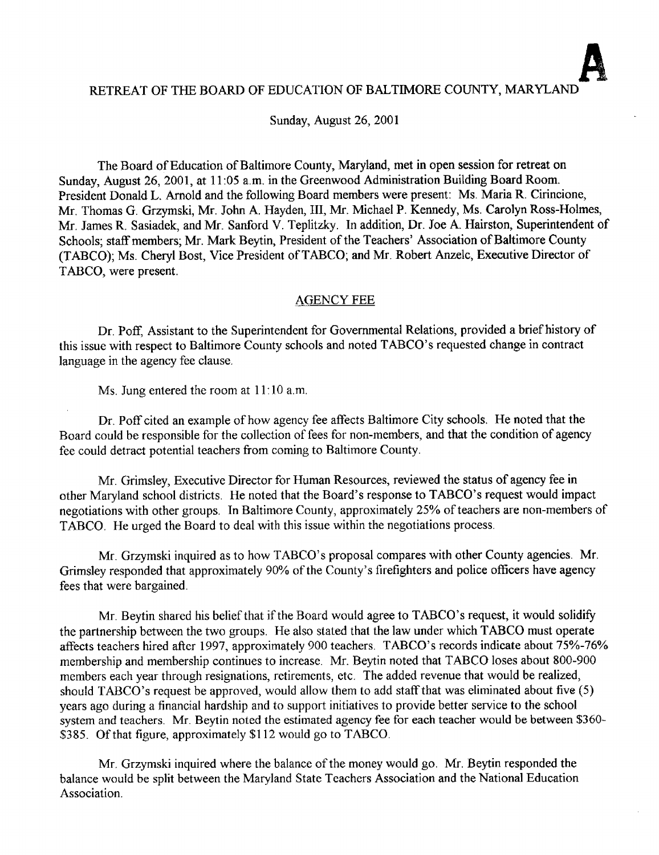Sunday, August 26, 2001

The Board of Education of Baltimore County, Maryland, met in open session for retreat on Sunday, August 26, 2001, at <sup>11</sup> :05 a.m. in the Greenwood Administration Building Board Room. President Donald L. Arnold and the following Board members were present: Ms. Maria R. Cirincione, Mr. Thomas G. Grzymski, Mr. John A. Hayden, III, Mr. Michael P. Kennedy, Ms. Carolyn Ross-Holmes, Mr. James R. Sasiadek, and Mr. Sanford V. Teplitzky. In addition, Dr. Joe A. Hairston, Superintendent of Schools; staff members; Mr. Mark Beytin, President of the Teachers' Association of Baltimore County (TABCO); Ms. Cheryl Bost, Vice President of TABCO; and Mr. Robert Anzelc, Executive Director of TABCO, were present.

#### AGENCY FEE

Dr. Poff, Assistant to the Superintendent for Governmental Relations, provided a brief history of this issue with respect to Baltimore County schools and noted TABCO's requested change in contract language in the agency fee clause.

Ms. Jung entered the room at 11:10 a.m.

Dr. Poff cited an example of how agency fee affects Baltimore City schools. He noted that the Board could be responsible for the collection of fees for non-members, and that the condition of agency fee could detract potential teachers from coming to Baltimore County .

Mr. Grimsley, Executive Director for Human Resources, reviewed the status of agency fee in other Maryland school districts . He noted that the Board's response to TABCO's request would impact negotiations with other groups. In Baltimore County, approximately 25% of teachers are non-members of TABCO. He urged the Board to deal with this issue within the negotiations process.

Mr. Grzymski inquired as to how TABCO's proposal compares with other County agencies. Mr. Grimsley responded that approximately 90% of the County's firefighters and police officers have agency fees that were bargained.

Mr. Beytin shared his belief that if the Board would agree to TABCO's request, it would solidify the partnership between the two groups. He also stated that the law under which TABCO must operate affects teachers hired after 1997, approximately 900 teachers. TABCO's records indicate about 75%-76% membership and membership continues to increase. Mr. Beytin noted that TABCO loses about 800-900 members each year through resignations, retirements, etc. The added revenue that would be realized, should TABCO's request be approved, would allow them to add staff that was eliminated about five (5) years ago during a financial hardship and to support initiatives to provide better service to the school system and teachers. Mr. Beytin noted the estimated agency fee for each teacher would be between \$360- \$385. Of that figure, approximately \$112 would go to TABCO.

Mr. Grzymski inquired where the balance of the money would go. Mr. Beytin responded the balance would be split between the Maryland State Teachers Association and the National Education Association.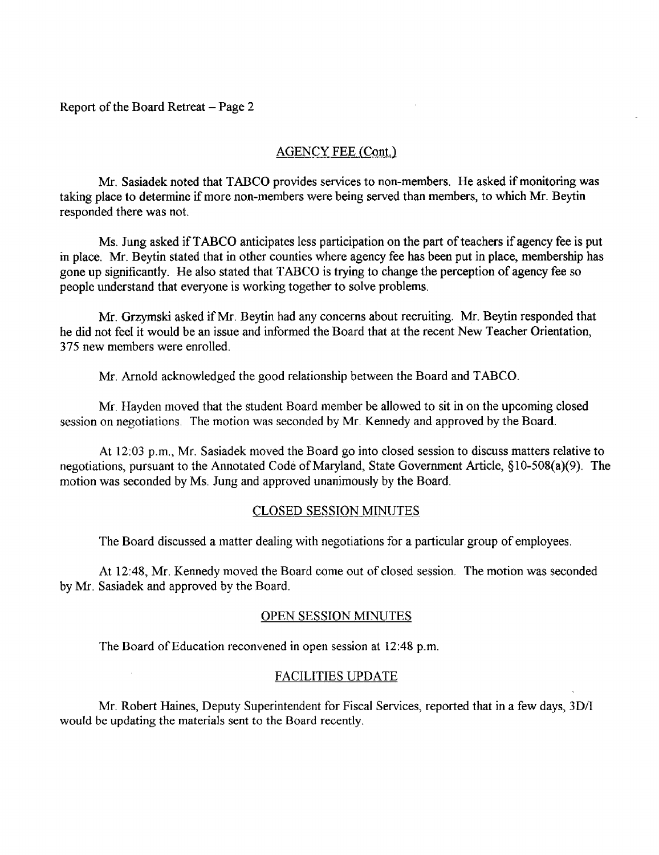Report of the Board Retreat - Page 2

### AGENCY FEE (Cont.)

Mr. Sasiadek noted that TABCO provides services to non-members . He asked if monitoring was taking place to determine if more non-members were being served than members, to which Mr. Beytin responded there was not.

Ms. Jung asked if TABCO anticipates less participation on the part of teachers if agency fee is put in place. Mr. Beytin stated that in other counties where agency fee has been put in place, membership has gone up significantly. He also stated that TABCO is trying to change the perception of agency fee so people understand that everyone is working together to solve problems.

Mr. Grzymski asked if Mr. Beytin had any concerns about recruiting . Mr. Beytin responded that he did not feel it would be an issue and informed the Board that at the recent New Teacher Orientation, 375 new members were enrolled.

Mr. Arnold acknowledged the good relationship between the Board and TABCO.

Mr. Hayden moved that the student Board member be allowed to sit in on the upcoming closed session on negotiations. The motion was seconded by Mr. Kennedy and approved by the Board.

At 12:03 p.m., Mr. Sasiadek moved the Board go into closed session to discuss matters relative to negotiations, pursuant to the Annotated Code of Maryland, State Government Article, §10-508(a)(9). The motion was seconded by Ms. Jung and approved unanimously by the Board.

#### CLOSED SESSION MINUTES

The Board discussed a matter dealing with negotiations for a particular group of employees .

At 12:48, Mr. Kennedy moved the Board come out of closed session. The motion was seconded by Mr. Sasiadek and approved by the Board.

#### OPEN SESSION MINUTES

The Board of Education reconvened in open session at 12 :48 p.m.

#### FACILITIES UPDATE

Mr. Robert Haines, Deputy Superintendent for Fiscal Services, reported that in <sup>a</sup> few days, 3D/I would be updating the materials sent to the Board recently.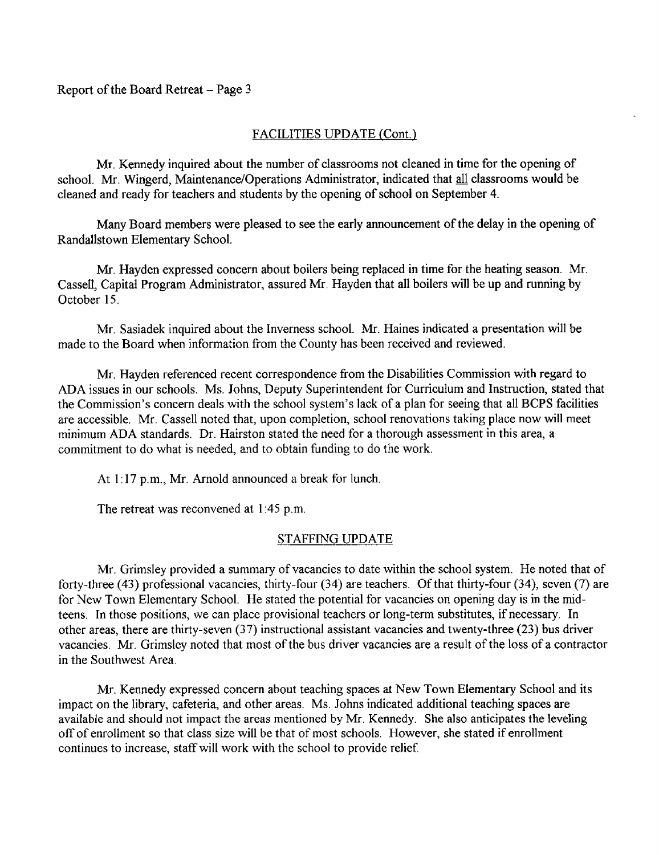# FACILITIES UPDATE (Cont.)

Mr . Kennedy inquired about the number of classrooms not cleaned in time for the opening of school. Mr. Wingerd, Maintenance/Operations Administrator, indicated that all classrooms would be cleaned and ready for teachers and students by the opening of school on September 4.

Many Board members were pleased to see the early announcement of the delay in the opening of Randallstown Elementary School.

Mr. Hayden expressed concern about boilers being replaced in time for the heating season . Mr. Cassell, Capital Program Administrator, assured Mr. Hayden that all boilers will be up and running by October 15.

Mr. Sasiadek inquired about the Inverness school. Mr. Haines indicated <sup>a</sup> presentation will be made to the Board when information from the County has been received and reviewed.

Mr. Hayden referenced recent correspondence from the Disabilities Commission with regard to ADA issues in our schools. Ms. Johns, Deputy Superintendent for Curriculum and Instruction, stated that the Commission's concern deals with the school system's lack of a plan for seeing that all BCPS facilities are accessible. Mr. Cassell noted that, upon completion, school renovations taking place now will meet minimum ADA standards. Dr. Hairston stated the need for a thorough assessment in this area, a commitment to do what is needed, and to obtain funding to do the work.

At 1:17 p.m., Mr. Arnold announced a break for lunch.

The retreat was reconvened at 1:45 p.m.

# STAFFING UPDATE

Mr. Grimsley provided a summary of vacancies to date within the school system. He noted that of forty-three (43) professional vacancies, thirty-four (34) are teachers . Of that thirty-four (34), seven (7) are for New Town Elementary School. He stated the potential for vacancies on opening day is in the midteens. In those positions, we can place provisional teachers or long-term substitutes, if necessary. In other areas, there are thirty-seven (37) instructional assistant vacancies and twenty-three (23) bus driver vacancies. Mr. Grimstey noted that most of the bus driver vacancies are <sup>a</sup> result of the loss of <sup>a</sup> contractor in the Southwest Area.

Mr. Kennedy expressed concern about teaching spaces at New Town Elementary School and its impact on the library, cafeteria, and other areas . Ms. Johns indicated additional teaching spaces are available and should not impact the areas mentioned by Mr. Kennedy. She also anticipates the leveling off of enrollment so that class size will be that of most schools . However, she stated if enrollment continues to increase, staff will work with the school to provide relief.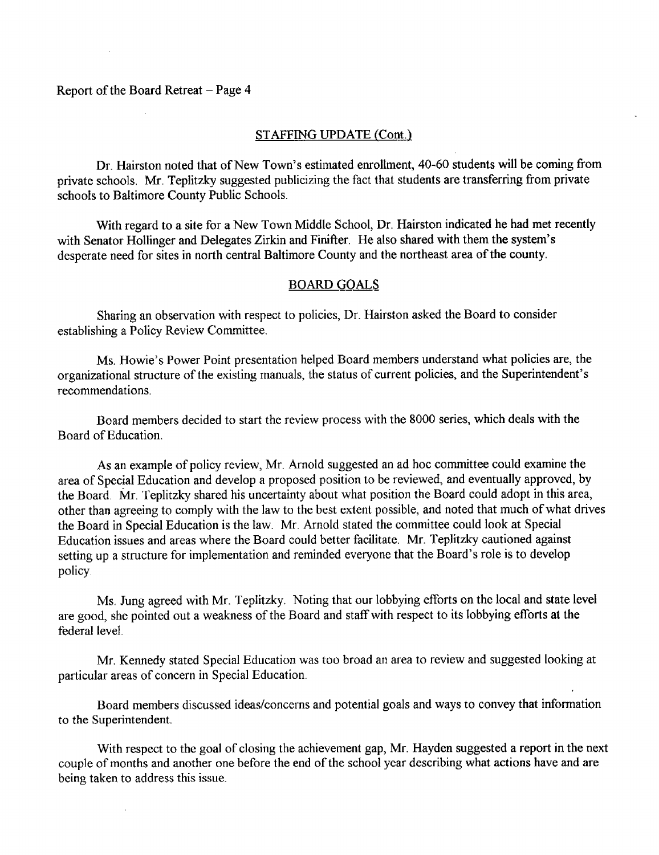#### Report of the Board Retreat  $-$  Page 4

### STAFFING UPDATE (Cont.)

Dr. Hairston noted that of New Town's estimated enrollment, 40-60 students will be coming from private schools. Mr. Teplitzky suggested publicizing the fact that students are transferring from private schools to Baltimore County Public Schools.

With regard to a site for <sup>a</sup> New Town Middle School, Dr. Hairston indicated he had met recently with Senator Hollinger and Delegates Zirkin and Finifter. He also shared with them the system's desperate need for sites in north central Baltimore County and the northeast area of the county.

#### BOARD GOALS

Sharing an observation with respect to policies, Dr. Hairston asked the Board to consider establishing <sup>a</sup> Policy Review Committee.

Ms. Howie's Power Point presentation helped Board members understand what policies are, the organizational structure of the existing manuals, the status of current policies, and the Superintendent's recommendations.

Board members decided to start the review process with the 8000 series, which deals with the Board of Education.

As an example of policy review, Mr. Arnold suggested an ad hoc committee could examine the area of Special Education and develop a proposed position to be reviewed, and eventually approved, by the Board. Mr. Teplitzky shared his uncertainty about what position the Board could adopt in this area, other than agreeing to comply with the law to the best extent possible, and noted that much of what drives the Board in Special Education is the law. Mr. Arnold stated the committee could look at Special Education issues and areas where the Board could better facilitate . Mr. Teplitzky cautioned against setting up <sup>a</sup> structure for implementation and reminded everyone that the Board's role is to develop policy.

Ms . Jung agreed with Mr. Teplitzky. Noting that our lobbying efforts on the local and state level are good, she pointed out a weakness of the Board and staff with respect to its lobbying efforts at the federal level.

Mr. Kennedy stated Special Education was too broad an area to review and suggested looking at particular areas of concern in Special Education.

Board members discussed ideas/concerns and potential goals and ways to convey that information to the Superintendent.

With respect to the goal of closing the achievement gap, Mr. Hayden suggested <sup>a</sup> report in the next couple of months and another one before the end of the school year describing what actions have and are being taken to address this issue .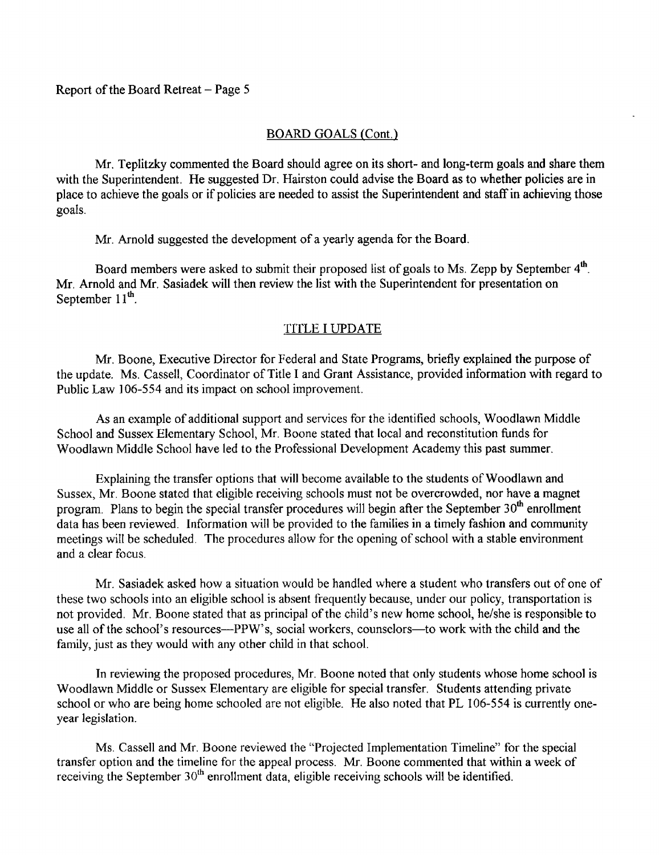## BOARD GOALS (Cont.)

Mr. Teplitzky commented the Board should agree on its short- and long-term goals and share them with the Superintendent. He suggested Dr. Hairston could advise the Board as to whether policies are in place to achieve the goals or if policies are needed to assist the Superintendent and staff in achieving those goals.

Mr. Arnold suggested the development of a yearly agenda for the Board.

Board members were asked to submit their proposed list of goals to Ms. Zepp by September 4<sup>th</sup>. Mr. Arnold and Mr. Sasiadek will then review the list with the Superintendent for presentation on September  $11^{\text{th}}$ .

## TITLE <sup>I</sup> UPDATE

Mr. Boone, Executive Director for Federal and State Programs, briefly explained the purpose of the update. Ms. Cassell, Coordinator of Title <sup>I</sup> and Grant Assistance, provided information with regard to Public Law 106-554 and its impact on school improvement.

As an example of additional support and services for the identified schools, Woodlawn Middle School and Sussex Elementary School, Mr. Boone stated that local and reconstitution funds for Woodlawn Middle School have led to the Professional Development Academy this past summer.

Explaining the transfer options that will become available to the students of Woodlawn and Sussex, Mr. Boone stated that eligible receiving schools must not be overcrowded, nor have <sup>a</sup> magnet program. Plans to begin the special transfer procedures will begin after the September 30<sup>th</sup> enrollment data has been reviewed. Information will be provided to the families in a timely fashion and community meetings will be scheduled. The procedures allow for the opening of school with a stable environment and a clear focus.

Mr. Sasiadek asked how <sup>a</sup> situation would be handled where <sup>a</sup> student who transfers out of one of these two schools into an eligible school is absent frequently because, under our policy, transportation is not provided. Mr. Boone stated that as principal of the child's new home school, he/she is responsible to use all of the school's resources---PPW's, social workers, counselors--to work with the child and the family, just as they would with any other child in that school.

In reviewing the proposed procedures, Mr. Boone noted that only students whose home school is Woodlawn Middle or Sussex Elementary are eligible for special transfer. Students attending private school or who are being home schooled are not eligible. He also noted that PL 106-554 is currently oneyear legislation.

Ms. Cassell and Mr. Boone reviewed the "Projected Implementation Timeline" for the special transfer option and the timeline for the appeal process. Mr. Boone commented that within <sup>a</sup> week of receiving the September 30<sup>th</sup> enrollment data, eligible receiving schools will be identified.